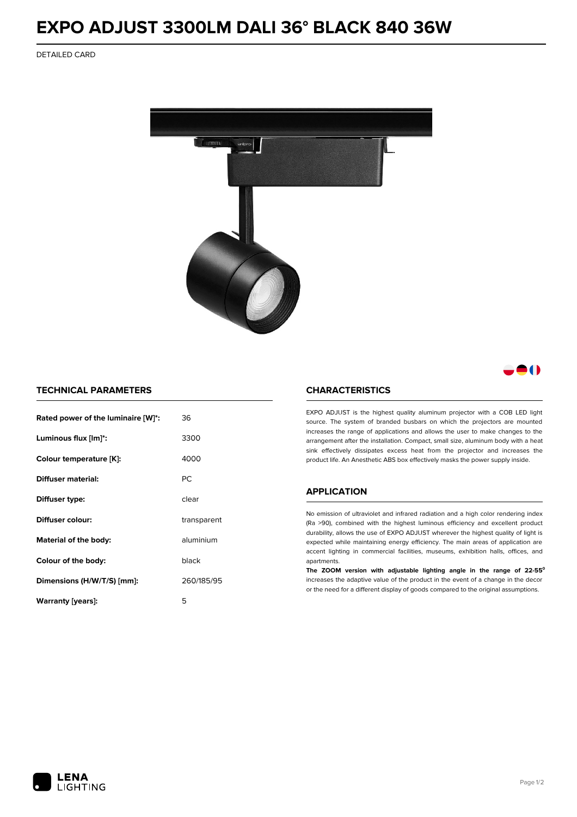# **EXPO ADJUST 3300LM DALI 36° BLACK 840 36W**

DETAILED CARD



# 80

## **TECHNICAL PARAMETERS**

| Rated power of the luminaire [W]*: | 36          |  |
|------------------------------------|-------------|--|
| Luminous flux [lm]*:               | 3300        |  |
| Colour temperature [K]:            | 4000        |  |
| <b>Diffuser material:</b>          | PC.         |  |
| Diffuser type:                     | clear       |  |
| Diffuser colour:                   | transparent |  |
| aluminium<br>Material of the body: |             |  |
| Colour of the body:                | black       |  |
| Dimensions (H/W/T/S) [mm]:         | 260/185/95  |  |
| Warranty (years):                  | 5           |  |

#### **CHARACTERISTICS**

EXPO ADJUST is the highest quality aluminum projector with a COB LED light source. The system of branded busbars on which the projectors are mounted increases the range of applications and allows the user to make changes to the arrangement after the installation. Compact, small size, aluminum body with a heat sink effectively dissipates excess heat from the projector and increases the product life. An Anesthetic ABS box effectively masks the power supply inside.

### **APPLICATION**

No emission of ultraviolet and infrared radiation and a high color rendering index (Ra >90), combined with the highest luminous efficiency and excellent product durability, allows the use of EXPO ADJUST wherever the highest quality of light is expected while maintaining energy efficiency. The main areas of application are accent lighting in commercial facilities, museums, exhibition halls, offices, and apartments.

**The ZOOM version with adjustable lighting angle in the range of 22-55⁰** increases the adaptive value of the product in the event of a change in the decor or the need for a different display of goods compared to the original assumptions.